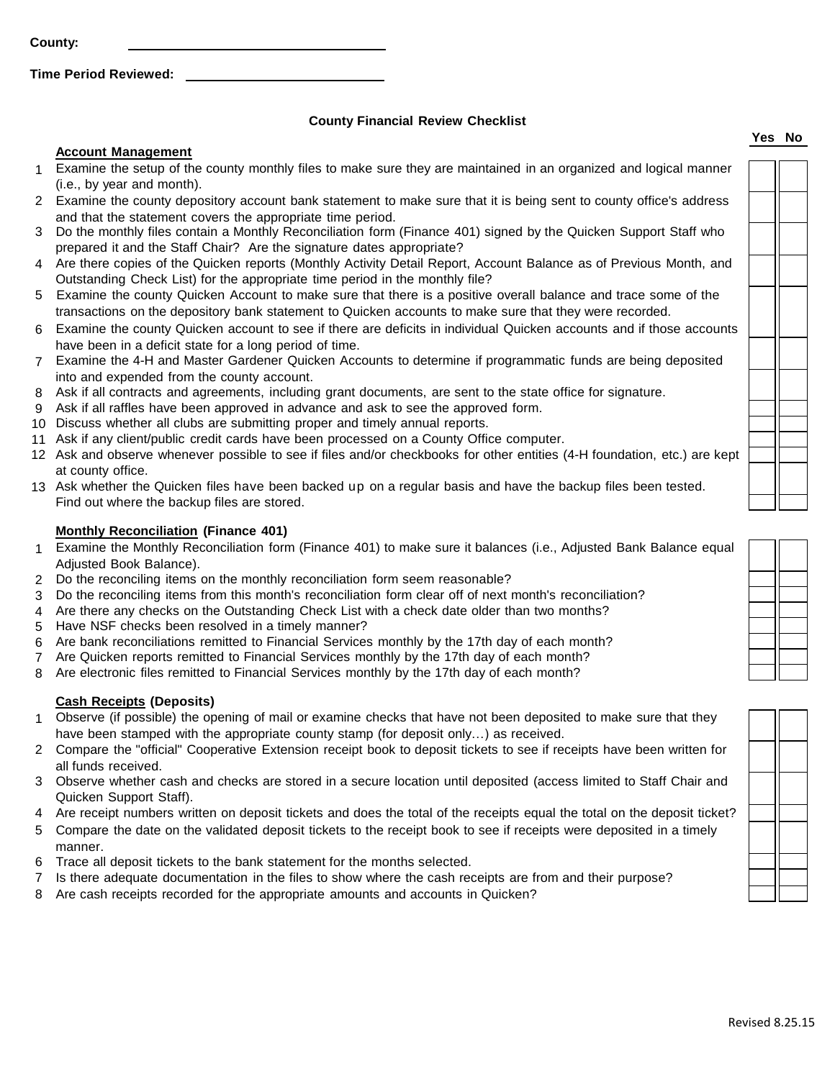**County:**

**Time Period Reviewed:** 

# **County Financial Review Checklist**

### **Account Management**

- 1 Examine the setup of the county monthly files to make sure they are maintained in an organized and logical manner (i.e., by year and month).
- 2 Examine the county depository account bank statement to make sure that it is being sent to county office's address and that the statement covers the appropriate time period.
- 3 Do the monthly files contain a Monthly Reconciliation form (Finance 401) signed by the Quicken Support Staff who prepared it and the Staff Chair? Are the signature dates appropriate?
- 4 Are there copies of the Quicken reports (Monthly Activity Detail Report, Account Balance as of Previous Month, and Outstanding Check List) for the appropriate time period in the monthly file?
- 5 Examine the county Quicken Account to make sure that there is a positive overall balance and trace some of the transactions on the depository bank statement to Quicken accounts to make sure that they were recorded.
- 6 Examine the county Quicken account to see if there are deficits in individual Quicken accounts and if those accounts have been in a deficit state for a long period of time.
- 7 Examine the 4-H and Master Gardener Quicken Accounts to determine if programmatic funds are being deposited into and expended from the county account.
- 8 Ask if all contracts and agreements, including grant documents, are sent to the state office for signature.
- 9 Ask if all raffles have been approved in advance and ask to see the approved form.
- 10 Discuss whether all clubs are submitting proper and timely annual reports.
- 11 Ask if any client/public credit cards have been processed on a County Office computer.
- 12 Ask and observe whenever possible to see if files and/or checkbooks for other entities (4-H foundation, etc.) are kept at county office.
- 13 Ask whether the Quicken files have been backed up on a regular basis and have the backup files been tested. Find out where the backup files are stored.

# **Monthly Reconciliation (Finance 401)**

- 1 Examine the Monthly Reconciliation form (Finance 401) to make sure it balances (i.e., Adjusted Bank Balance equal Adjusted Book Balance).
- 2 Do the reconciling items on the monthly reconciliation form seem reasonable?
- 3 Do the reconciling items from this month's reconciliation form clear off of next month's reconciliation?
- 4 Are there any checks on the Outstanding Check List with a check date older than two months?
- 5 Have NSF checks been resolved in a timely manner?
- 6 Are bank reconciliations remitted to Financial Services monthly by the 17th day of each month?
- 7 Are Quicken reports remitted to Financial Services monthly by the 17th day of each month?
- 8 Are electronic files remitted to Financial Services monthly by the 17th day of each month?

# **Cash Receipts (Deposits)**

- 1 Observe (if possible) the opening of mail or examine checks that have not been deposited to make sure that they have been stamped with the appropriate county stamp (for deposit only…) as received.
- 2 Compare the "official" Cooperative Extension receipt book to deposit tickets to see if receipts have been written for all funds received.
- 3 Observe whether cash and checks are stored in a secure location until deposited (access limited to Staff Chair and Quicken Support Staff).
- 4 Are receipt numbers written on deposit tickets and does the total of the receipts equal the total on the deposit ticket?
- 5 Compare the date on the validated deposit tickets to the receipt book to see if receipts were deposited in a timely manner.
- 6 Trace all deposit tickets to the bank statement for the months selected.
- 7 Is there adequate documentation in the files to show where the cash receipts are from and their purpose?
- 8 Are cash receipts recorded for the appropriate amounts and accounts in Quicken?

┐┌

### **Yes No**